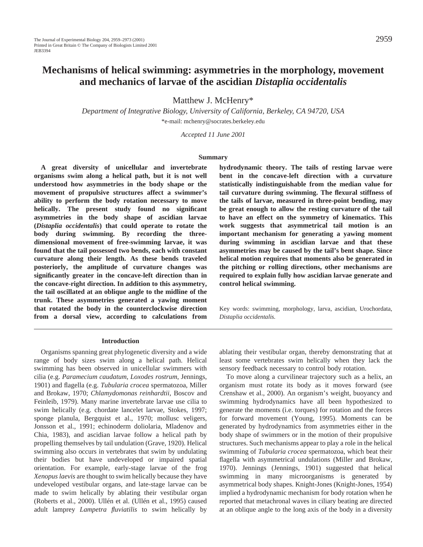# **Mechanisms of helical swimming: asymmetries in the morphology, movement and mechanics of larvae of the ascidian** *Distaplia occidentalis*

Matthew J. McHenry\*

*Department of Integrative Biology, University of California, Berkeley, CA 94720, USA* \*e-mail: mchenry@socrates.berkeley.edu

*Accepted 11 June 2001*

#### **Summary**

**A great diversity of unicellular and invertebrate organisms swim along a helical path, but it is not well understood how asymmetries in the body shape or the movement of propulsive structures affect a swimmer's ability to perform the body rotation necessary to move helically. The present study found no significant asymmetries in the body shape of ascidian larvae (***Distaplia occidentalis***) that could operate to rotate the body during swimming. By recording the threedimensional movement of free-swimming larvae, it was found that the tail possessed two bends, each with constant curvature along their length. As these bends traveled posteriorly, the amplitude of curvature changes was significantly greater in the concave-left direction than in the concave-right direction. In addition to this asymmetry, the tail oscillated at an oblique angle to the midline of the trunk. These asymmetries generated a yawing moment that rotated the body in the counterclockwise direction from a dorsal view, according to calculations from**

**hydrodynamic theory. The tails of resting larvae were bent in the concave-left direction with a curvature statistically indistinguishable from the median value for tail curvature during swimming. The flexural stiffness of the tails of larvae, measured in three-point bending, may be great enough to allow the resting curvature of the tail to have an effect on the symmetry of kinematics. This work suggests that asymmetrical tail motion is an important mechanism for generating a yawing moment during swimming in ascidian larvae and that these asymmetries may be caused by the tail's bent shape. Since helical motion requires that moments also be generated in the pitching or rolling directions, other mechanisms are required to explain fully how ascidian larvae generate and control helical swimming.**

Key words: swimming, morphology, larva, ascidian, Urochordata, *Distaplia occidentalis.*

# **Introduction**

Organisms spanning great phylogenetic diversity and a wide range of body sizes swim along a helical path. Helical swimming has been observed in unicellular swimmers with cilia (e.g. *Paramecium caudatum*, *Loxodes rostrum*, Jennings, 1901) and flagella (e.g. *Tubularia crocea* spermatozoa, Miller and Brokaw, 1970; *Chlamydomonas reinhardtii*, Boscov and Feinleib, 1979). Many marine invertebrate larvae use cilia to swim helically (e.g. chordate lancelet larvae, Stokes, 1997; sponge planula, Bergquist et al., 1970; mollusc veligers, Jonsson et al., 1991; echinoderm doliolaria, Mladenov and Chia, 1983), and ascidian larvae follow a helical path by propelling themselves by tail undulation (Grave, 1920). Helical swimming also occurs in vertebrates that swim by undulating their bodies but have undeveloped or impaired spatial orientation. For example, early-stage larvae of the frog *Xenopus laevis* are thought to swim helically because they have undeveloped vestibular organs, and late-stage larvae can be made to swim helically by ablating their vestibular organ (Roberts et al., 2000). Ullén et al. (Ullén et al., 1995) caused adult lamprey *Lampetra fluviatilis* to swim helically by

ablating their vestibular organ, thereby demonstrating that at least some vertebrates swim helically when they lack the sensory feedback necessary to control body rotation.

To move along a curvilinear trajectory such as a helix, an organism must rotate its body as it moves forward (see Crenshaw et al., 2000). An organism's weight, buoyancy and swimming hydrodynamics have all been hypothesized to generate the moments (i.e. torques) for rotation and the forces for forward movement (Young, 1995). Moments can be generated by hydrodynamics from asymmetries either in the body shape of swimmers or in the motion of their propulsive structures. Such mechanisms appear to play a role in the helical swimming of *Tubularia crocea* spermatozoa, which beat their flagella with asymmetrical undulations (Miller and Brokaw, 1970). Jennings (Jennings, 1901) suggested that helical swimming in many microorganisms is generated by asymmetrical body shapes. Knight-Jones (Knight-Jones, 1954) implied a hydrodynamic mechanism for body rotation when he reported that metachronal waves in ciliary beating are directed at an oblique angle to the long axis of the body in a diversity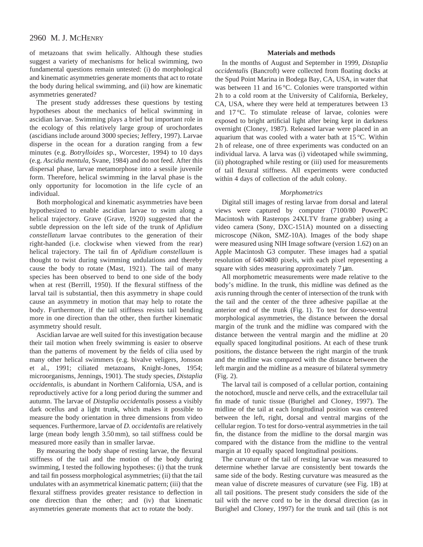of metazoans that swim helically. Although these studies suggest a variety of mechanisms for helical swimming, two fundamental questions remain untested: (i) do morphological and kinematic asymmetries generate moments that act to rotate the body during helical swimming, and (ii) how are kinematic asymmetries generated?

The present study addresses these questions by testing hypotheses about the mechanics of helical swimming in ascidian larvae. Swimming plays a brief but important role in the ecology of this relatively large group of urochordates (ascidians include around 3000 species; Jeffery, 1997). Larvae disperse in the ocean for a duration ranging from a few minutes (e.g. *Botrylloides* sp., Worcester, 1994) to 10 days (e.g. *Ascidia mentula*, Svane, 1984) and do not feed. After this dispersal phase, larvae metamorphose into a sessile juvenile form. Therefore, helical swimming in the larval phase is the only opportunity for locomotion in the life cycle of an individual.

Both morphological and kinematic asymmetries have been hypothesized to enable ascidian larvae to swim along a helical trajectory. Grave (Grave, 1920) suggested that the subtle depression on the left side of the trunk of *Aplidium constellatum* larvae contributes to the generation of their right-handed (i.e. clockwise when viewed from the rear) helical trajectory. The tail fin of *Aplidium constellaum* is thought to twist during swimming undulations and thereby cause the body to rotate (Mast, 1921). The tail of many species has been observed to bend to one side of the body when at rest (Berrill, 1950). If the flexural stiffness of the larval tail is substantial, then this asymmetry in shape could cause an asymmetry in motion that may help to rotate the body. Furthermore, if the tail stiffness resists tail bending more in one direction than the other, then further kinematic asymmetry should result.

Ascidian larvae are well suited for this investigation because their tail motion when freely swimming is easier to observe than the patterns of movement by the fields of cilia used by many other helical swimmers (e.g. bivalve veligers, Jonsson et al., 1991; ciliated metazoans, Knight-Jones, 1954; microorganisms, Jennings, 1901). The study species, *Distaplia occidentalis*, is abundant in Northern California, USA, and is reproductively active for a long period during the summer and autumn. The larvae of *Distaplia occidentali*s possess a visibly dark ocellus and a light trunk, which makes it possible to measure the body orientation in three dimensions from video sequences. Furthermore, larvae of *D. occidentalis* are relatively large (mean body length 3.50 mm), so tail stiffness could be measured more easily than in smaller larvae.

By measuring the body shape of resting larvae, the flexural stiffness of the tail and the motion of the body during swimming, I tested the following hypotheses: (i) that the trunk and tail fin possess morphological asymmetries; (ii) that the tail undulates with an asymmetrical kinematic pattern; (iii) that the flexural stiffness provides greater resistance to deflection in one direction than the other; and (iv) that kinematic asymmetries generate moments that act to rotate the body.

### **Materials and methods**

In the months of August and September in 1999, *Distaplia occidentali*s (Bancroft) were collected from floating docks at the Spud Point Marina in Bodega Bay, CA, USA, in water that was between 11 and 16 °C. Colonies were transported within 2 h to a cold room at the University of California, Berkeley, CA, USA, where they were held at temperatures between 13 and 17 °C. To stimulate release of larvae, colonies were exposed to bright artificial light after being kept in darkness overnight (Cloney, 1987). Released larvae were placed in an aquarium that was cooled with a water bath at 15 °C. Within 2 h of release, one of three experiments was conducted on an individual larva. A larva was (i) videotaped while swimming, (ii) photographed while resting or (iii) used for measurements of tail flexural stiffness. All experiments were conducted within 4 days of collection of the adult colony.

#### *Morphometrics*

Digital still images of resting larvae from dorsal and lateral views were captured by computer (7100/80 PowerPC Macintosh with Rasterops 24XLTV frame grabber) using a video camera (Sony, DXC-151A) mounted on a dissecting microscope (Nikon, SMZ-10A). Images of the body shape were measured using NIH Image software (version 1.62) on an Apple Macintosh G3 computer. These images had a spatial resolution of 640×480 pixels, with each pixel representing a square with sides measuring approximately  $7 \mu m$ .

All morphometric measurements were made relative to the body's midline. In the trunk, this midline was defined as the axis running through the center of intersection of the trunk with the tail and the center of the three adhesive papillae at the anterior end of the trunk (Fig. 1). To test for dorso-ventral morphological asymmetries, the distance between the dorsal margin of the trunk and the midline was compared with the distance between the ventral margin and the midline at 20 equally spaced longitudinal positions. At each of these trunk positions, the distance between the right margin of the trunk and the midline was compared with the distance between the left margin and the midline as a measure of bilateral symmetry (Fig. 2).

The larval tail is composed of a cellular portion, containing the notochord, muscle and nerve cells, and the extracellular tail fin made of tunic tissue (Burighel and Cloney, 1997). The midline of the tail at each longitudinal position was centered between the left, right, dorsal and ventral margins of the cellular region. To test for dorso-ventral asymmetries in the tail fin, the distance from the midline to the dorsal margin was compared with the distance from the midline to the ventral margin at 10 equally spaced longitudinal positions.

The curvature of the tail of resting larvae was measured to determine whether larvae are consistently bent towards the same side of the body. Resting curvature was measured as the mean value of discrete measures of curvature (see Fig. 1B) at all tail positions. The present study considers the side of the tail with the nerve cord to be in the dorsal direction (as in Burighel and Cloney, 1997) for the trunk and tail (this is not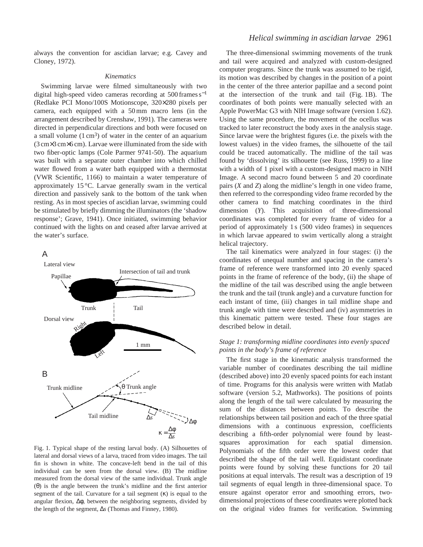always the convention for ascidian larvae; e.g. Cavey and Cloney, 1972).

### *Kinematics*

Swimming larvae were filmed simultaneously with two digital high-speed video cameras recording at 500 frames s−<sup>1</sup> (Redlake PCI Mono/100S Motionscope, 320×280 pixels per camera, each equipped with a 50 mm macro lens (in the arrangement described by Crenshaw, 1991). The cameras were directed in perpendicular directions and both were focused on a small volume  $(1 \text{ cm}^3)$  of water in the center of an aquarium (3 cm×3 cm×6 cm). Larvae were illuminated from the side with two fiber-optic lamps (Cole Parmer 9741-50). The aquarium was built with a separate outer chamber into which chilled water flowed from a water bath equipped with a thermostat (VWR Scientific, 1166) to maintain a water temperature of approximately 15 °C. Larvae generally swam in the vertical direction and passively sank to the bottom of the tank when resting. As in most species of ascidian larvae, swimming could be stimulated by briefly dimming the illuminators (the 'shadow response'; Grave, 1941). Once initiated, swimming behavior continued with the lights on and ceased after larvae arrived at the water's surface.

A



Fig. 1. Typical shape of the resting larval body. (A) Silhouettes of lateral and dorsal views of a larva, traced from video images. The tail fin is shown in white. The concave-left bend in the tail of this individual can be seen from the dorsal view. (B) The midline measured from the dorsal view of the same individual. Trunk angle (θ) is the angle between the trunk's midline and the first anterior segment of the tail. Curvature for a tail segment  $(\kappa)$  is equal to the angular flexion, ∆φ, between the neighboring segments, divided by the length of the segment, ∆*s* (Thomas and Finney, 1980).

# *Helical swimming in ascidian larvae* 2961

The three-dimensional swimming movements of the trunk and tail were acquired and analyzed with custom-designed computer programs. Since the trunk was assumed to be rigid, its motion was described by changes in the position of a point in the center of the three anterior papillae and a second point at the intersection of the trunk and tail (Fig. 1B). The coordinates of both points were manually selected with an Apple PowerMac G3 with NIH Image software (version 1.62). Using the same procedure, the movement of the ocellus was tracked to later reconstruct the body axes in the analysis stage. Since larvae were the brightest figures (i.e. the pixels with the lowest values) in the video frames, the silhouette of the tail could be traced automatically. The midline of the tail was found by 'dissolving' its silhouette (see Russ, 1999) to a line with a width of 1 pixel with a custom-designed macro in NIH Image. A second macro found between 5 and 20 coordinate pairs (*X* and *Z*) along the midline's length in one video frame, then referred to the corresponding video frame recorded by the other camera to find matching coordinates in the third dimension (*Y*). This acquisition of three-dimensional coordinates was completed for every frame of video for a period of approximately 1 s (500 video frames) in sequences in which larvae appeared to swim vertically along a straight helical trajectory.

The tail kinematics were analyzed in four stages: (i) the coordinates of unequal number and spacing in the camera's frame of reference were transformed into 20 evenly spaced points in the frame of reference of the body, (ii) the shape of the midline of the tail was described using the angle between the trunk and the tail (trunk angle) and a curvature function for each instant of time, (iii) changes in tail midline shape and trunk angle with time were described and (iv) asymmetries in this kinematic pattern were tested. These four stages are described below in detail.

# *Stage 1: transforming midline coordinates into evenly spaced points in the body's frame of reference*

The first stage in the kinematic analysis transformed the variable number of coordinates describing the tail midline (described above) into 20 evenly spaced points for each instant of time. Programs for this analysis were written with Matlab software (version 5.2, Mathworks). The positions of points along the length of the tail were calculated by measuring the sum of the distances between points. To describe the relationships between tail position and each of the three spatial dimensions with a continuous expression, coefficients describing a fifth-order polynomial were found by leastsquares approximation for each spatial dimension. Polynomials of the fifth order were the lowest order that described the shape of the tail well. Equidistant coordinate points were found by solving these functions for 20 tail positions at equal intervals. The result was a description of 19 tail segments of equal length in three-dimensional space. To ensure against operator error and smoothing errors, twodimensional projections of these coordinates were plotted back on the original video frames for verification. Swimming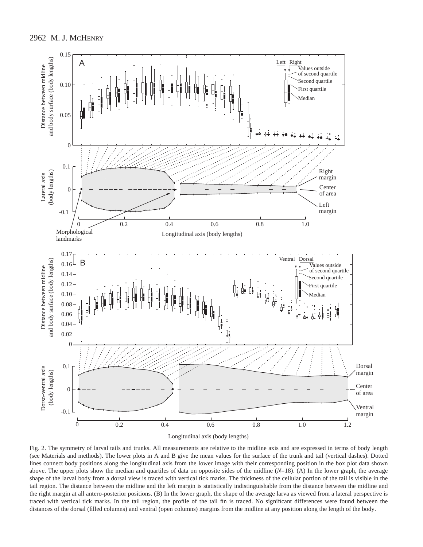

Fig. 2. The symmetry of larval tails and trunks. All measurements are relative to the midline axis and are expressed in terms of body length (see Materials and methods). The lower plots in A and B give the mean values for the surface of the trunk and tail (vertical dashes). Dotted lines connect body positions along the longitudinal axis from the lower image with their corresponding position in the box plot data shown above. The upper plots show the median and quartiles of data on opposite sides of the midline (*N*=18). (A) In the lower graph, the average shape of the larval body from a dorsal view is traced with vertical tick marks. The thickness of the cellular portion of the tail is visible in the tail region. The distance between the midline and the left margin is statistically indistinguishable from the distance between the midline and the right margin at all antero-posterior positions. (B) In the lower graph, the shape of the average larva as viewed from a lateral perspective is traced with vertical tick marks. In the tail region, the profile of the tail fin is traced. No significant differences were found between the distances of the dorsal (filled columns) and ventral (open columns) margins from the midline at any position along the length of the body.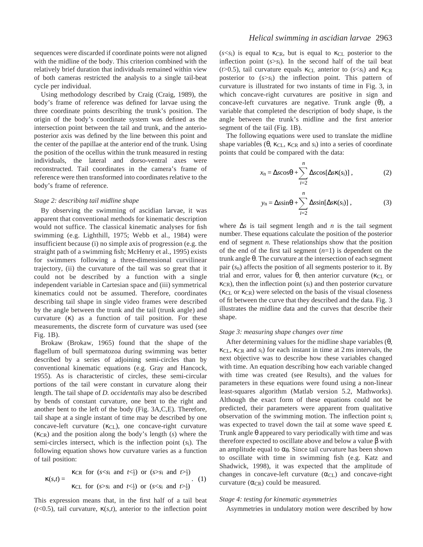sequences were discarded if coordinate points were not aligned with the midline of the body. This criterion combined with the relatively brief duration that individuals remained within view of both cameras restricted the analysis to a single tail-beat cycle per individual.

Using methodology described by Craig (Craig, 1989), the body's frame of reference was defined for larvae using the three coordinate points describing the trunk's position. The origin of the body's coordinate system was defined as the intersection point between the tail and trunk, and the anterioposterior axis was defined by the line between this point and the center of the papillae at the anterior end of the trunk. Using the position of the ocellus within the trunk measured in resting individuals, the lateral and dorso-ventral axes were reconstructed. Tail coordinates in the camera's frame of reference were then transformed into coordinates relative to the body's frame of reference.

### *Stage 2: describing tail midline shape*

By observing the swimming of ascidian larvae, it was apparent that conventional methods for kinematic description would not suffice. The classical kinematic analyses for fish swimming (e.g. Lighthill, 1975; Webb et al., 1984) were insufficient because (i) no simple axis of progression (e.g. the straight path of a swimming fish; McHenry et al., 1995) exists for swimmers following a three-dimensional curvilinear trajectory, (ii) the curvature of the tail was so great that it could not be described by a function with a single independent variable in Cartesian space and (iii) symmetrical kinematics could not be assumed. Therefore, coordinates describing tail shape in single video frames were described by the angle between the trunk and the tail (trunk angle) and curvature  $(\kappa)$  as a function of tail position. For these measurements, the discrete form of curvature was used (see Fig. 1B).

Brokaw (Brokaw, 1965) found that the shape of the flagellum of bull spermatozoa during swimming was better described by a series of adjoining semi-circles than by conventional kinematic equations (e.g. Gray and Hancock, 1955). As is characteristic of circles, these semi-circular portions of the tail were constant in curvature along their length. The tail shape of *D. occidentalis* may also be described by bends of constant curvature, one bent to the right and another bent to the left of the body (Fig. 3A,C,E). Therefore, tail shape at a single instant of time may be described by one concave-left curvature  $(\kappa_{CL})$ , one concave-right curvature (κCR) and the position along the body's length (*s*) where the semi-circles intersect, which is the inflection point (*s*i). The following equation shows how curvature varies as a function of tail position:

$$
\kappa(s,t) = \begin{cases} \kappa_{\text{CR}} & \text{for } (s < s_i \text{ and } t < \frac{1}{2}) \text{ or } (s > s_i \text{ and } t > \frac{1}{2})\\ \kappa_{\text{CL}} & \text{for } (s > s_i \text{ and } t < \frac{1}{2}) \text{ or } (s < s_i \text{ and } t > \frac{1}{2}) \end{cases} \tag{1}
$$

This expression means that, in the first half of a tail beat ( $t$ <0.5), tail curvature,  $\kappa(s,t)$ , anterior to the inflection point

 $(s \leq s_i)$  is equal to  $\kappa_{CR}$ , but is equal to  $\kappa_{CL}$  posterior to the inflection point  $(s > s_i)$ . In the second half of the tail beat ( $t > 0.5$ ), tail curvature equals  $\kappa_{CL}$  anterior to ( $s < s<sub>i</sub>$ ) and  $\kappa_{CR}$ posterior to (*s*>*s*i) the inflection point. This pattern of curvature is illustrated for two instants of time in Fig. 3, in which concave-right curvatures are positive in sign and concave-left curvatures are negative. Trunk angle (θ), a variable that completed the description of body shape, is the angle between the trunk's midline and the first anterior segment of the tail (Fig. 1B).

The following equations were used to translate the midline shape variables  $(\theta, \kappa_{CL}, \kappa_{CR} \text{ and } s_i)$  into a series of coordinate points that could be compared with the data:

$$
x_{n} = \Delta s \cos \theta + \sum_{i=2}^{n} \Delta s \cos[\Delta s \kappa(s_{i})], \qquad (2)
$$

$$
y_{n} = \Delta s \sin \theta + \sum_{i=2}^{n} \Delta s \sin[\Delta s \kappa(s_{i})],
$$
 (3)

where ∆*s* is tail segment length and *n* is the tail segment number. These equations calculate the position of the posterior end of segment *n*. These relationships show that the position of the end of the first tail segment (*n*=1) is dependent on the trunk angle θ. The curvature at the intersection of each segment pair (*s*n) affects the position of all segments posterior to it. By trial and error, values for  $\theta$ , then anterior curvature ( $\kappa_{CL}$  or  $\kappa_{CR}$ ), then the inflection point  $(s_i)$  and then posterior curvature  $(\kappa_{CL} \text{ or } \kappa_{CR})$  were selected on the basis of the visual closeness of fit between the curve that they described and the data. Fig. 3 illustrates the midline data and the curves that describe their shape.

# *Stage 3: measuring shape changes over time*

After determining values for the midline shape variables  $(\theta, \theta)$ κCL, κCR and *s*i) for each instant in time at 2 ms intervals, the next objective was to describe how these variables changed with time. An equation describing how each variable changed with time was created (see Results), and the values for parameters in these equations were found using a non-linear least-squares algorithm (Matlab version 5.2, Mathworks). Although the exact form of these equations could not be predicted, their parameters were apparent from qualitative observation of the swimming motion. The inflection point *s*i was expected to travel down the tail at some wave speed ε. Trunk angle θ appeared to vary periodically with time and was therefore expected to oscillate above and below a value β with an amplitude equal to  $\alpha_{\theta}$ . Since tail curvature has been shown to oscillate with time in swimming fish (e.g. Katz and Shadwick, 1998), it was expected that the amplitude of changes in concave-left curvature  $(\alpha_{CL})$  and concave-right curvature  $(\alpha_{CR})$  could be measured.

#### *Stage 4: testing for kinematic asymmetries*

Asymmetries in undulatory motion were described by how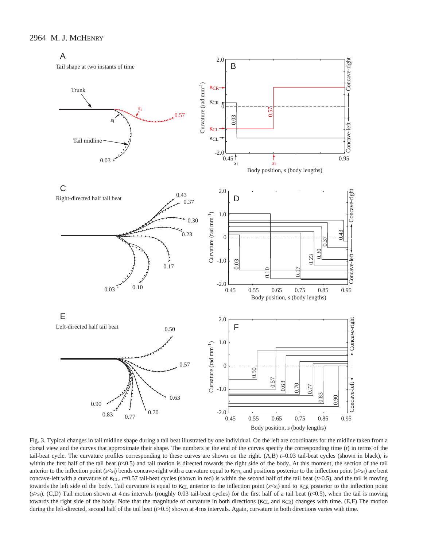



Fig. 3. Typical changes in tail midline shape during a tail beat illustrated by one individual. On the left are coordinates for the midline taken from a dorsal view and the curves that approximate their shape. The numbers at the end of the curves specify the corresponding time (*t*) in terms of the tail-beat cycle. The curvature profiles corresponding to these curves are shown on the right.  $(A,B)$   $t=0.03$  tail-beat cycles (shown in black), is within the first half of the tail beat  $(t<0.5)$  and tail motion is directed towards the right side of the body. At this moment, the section of the tail anterior to the inflection point (*s*<*s*<sub>i</sub>) bends concave-right with a curvature equal to κ<sub>CR</sub>, and positions posterior to the inflection point (*s*>*s*<sub>i</sub>) are bent concave-left with a curvature of κ<sub>CL</sub>. *t*=0.57 tail-beat cycles (shown in red) is within the second half of the tail beat (*t*>0.5), and the tail is moving towards the left side of the body. Tail curvature is equal to κc<sub>L</sub> anterior to the inflection point (*s*<*s*<sub>i</sub>) and to κc<sub>R</sub> posterior to the inflection point (*s*>*s*i). (C,D) Tail motion shown at 4 ms intervals (roughly 0.03 tail-beat cycles) for the first half of a tail beat (*t*<0.5), when the tail is moving towards the right side of the body. Note that the magnitude of curvature in both directions ( $\kappa_{CL}$  and  $\kappa_{CR}$ ) changes with time. (E,F) The motion during the left-directed, second half of the tail beat ( $t$ >0.5) shown at 4 ms intervals. Again, curvature in both directions varies with time.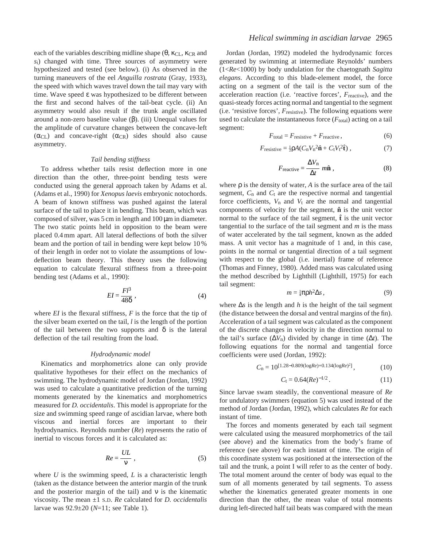each of the variables describing midline shape  $(\theta, \kappa_{CL}, \kappa_{CR})$  and *s*i) changed with time. Three sources of asymmetry were hypothesized and tested (see below). (i) As observed in the turning maneuvers of the eel *Anguilla rostrata* (Gray, 1933), the speed with which waves travel down the tail may vary with time. Wave speed ε was hypothesized to be different between the first and second halves of the tail-beat cycle. (ii) An asymmetry would also result if the trunk angle oscillated around a non-zero baseline value (β). (iii) Unequal values for the amplitude of curvature changes between the concave-left  $(\alpha_{CL})$  and concave-right  $(\alpha_{CR})$  sides should also cause asymmetry.

### *Tail bending stiffness*

To address whether tails resist deflection more in one direction than the other, three-point bending tests were conducted using the general approach taken by Adams et al. (Adams et al., 1990) for *Xenopus laevis* embryonic notochords. A beam of known stiffness was pushed against the lateral surface of the tail to place it in bending. This beam, which was composed of silver, was  $5 \text{ cm}$  in length and  $100 \mu \text{m}$  in diameter. The two static points held in opposition to the beam were placed 0.4 mm apart. All lateral deflections of both the silver beam and the portion of tail in bending were kept below 10 % of their length in order not to violate the assumptions of lowdeflection beam theory. This theory uses the following equation to calculate flexural stiffness from a three-point bending test (Adams et al., 1990):

$$
EI = \frac{Fl^3}{48\delta} \,,\tag{4}
$$

where *EI* is the flexural stiffness, *F* is the force that the tip of the silver beam exerted on the tail, *l* is the length of the portion of the tail between the two supports and  $\delta$  is the lateral deflection of the tail resulting from the load.

#### *Hydrodynamic model*

Kinematics and morphometrics alone can only provide qualitative hypotheses for their effect on the mechanics of swimming. The hydrodynamic model of Jordan (Jordan, 1992) was used to calculate a quantitative prediction of the turning moments generated by the kinematics and morphometrics measured for *D. occidentalis*. This model is appropriate for the size and swimming speed range of ascidian larvae, where both viscous and inertial forces are important to their hydrodynamics. Reynolds number (*Re*) represents the ratio of inertial to viscous forces and it is calculated as:

$$
Re = \frac{UL}{v},\tag{5}
$$

where *U* is the swimming speed, *L* is a characteristic length (taken as the distance between the anterior margin of the trunk and the posterior margin of the tail) and  $\nu$  is the kinematic viscosity. The mean ±1 S.D. *Re* calculated for *D. occidentalis* larvae was 92.9±20 (*N*=11; see Table 1).

# *Helical swimming in ascidian larvae* 2965

Jordan (Jordan, 1992) modeled the hydrodynamic forces generated by swimming at intermediate Reynolds' numbers (1<*Re*<1000) by body undulation for the chaetognath *Sagitta elegans*. According to this blade-element model, the force acting on a segment of the tail is the vector sum of the acceleration reaction (i.e. 'reactive forces', *F*reactive), and the quasi-steady forces acting normal and tangential to the segment (i.e. 'resistive forces', *F*resistive). The following equations were used to calculate the instantaneous force  $(F_{total})$  acting on a tail segment:

$$
F_{\text{total}} = F_{\text{resistive}} + F_{\text{reactive}},\tag{6}
$$

$$
F_{\text{resistive}} = \frac{1}{2} \rho A (C_{\text{n}} V_{\text{n}}^2 \hat{\mathbf{n}} + C_{\text{t}} V_{\text{t}}^2 \hat{\mathbf{t}}) , \qquad (7)
$$

$$
F_{\text{reactive}} = \frac{\Delta V_{\text{n}}}{\Delta t} m \hat{\mathbf{n}} \,, \tag{8}
$$

where  $\rho$  is the density of water,  $A$  is the surface area of the tail segment, *C*n and *C*t are the respective normal and tangential force coefficients, *V*n and *V*t are the normal and tangential components of velocity for the segment, **nˆ** is the unit vector normal to the surface of the tail segment,  $\hat{\mathbf{t}}$  is the unit vector tangential to the surface of the tail segment and *m* is the mass of water accelerated by the tail segment, known as the added mass. A unit vector has a magnitude of 1 and, in this case, points in the normal or tangential direction of a tail segment with respect to the global (i.e. inertial) frame of reference (Thomas and Finney, 1980). Added mass was calculated using the method described by Lighthill (Lighthill, 1975) for each tail segment:

$$
m = \frac{1}{4}\pi \rho h^2 \Delta s \,,\tag{9}
$$

where ∆*s* is the length and *h* is the height of the tail segment (the distance between the dorsal and ventral margins of the fin). Acceleration of a tail segment was calculated as the component of the discrete changes in velocity in the direction normal to the tail's surface  $(\Delta V_n)$  divided by change in time  $(\Delta t)$ . The following equations for the normal and tangential force coefficients were used (Jordan, 1992):

$$
C_{n} = 10^{[1.28 - 0.809(\log Re) + 0.134(\log Re)^{2}]}, \qquad (10)
$$

$$
C_{t} = 0.64(Re)^{-1/2}.
$$
 (11)

Since larvae swam steadily, the conventional measure of *Re* for undulatory swimmers (equation 5) was used instead of the method of Jordan (Jordan, 1992), which calculates *Re* for each instant of time.

The forces and moments generated by each tail segment were calculated using the measured morphometrics of the tail (see above) and the kinematics from the body's frame of reference (see above) for each instant of time. The origin of this coordinate system was positioned at the intersection of the tail and the trunk, a point I will refer to as the center of body. The total moment around the center of body was equal to the sum of all moments generated by tail segments. To assess whether the kinematics generated greater moments in one direction than the other, the mean value of total moments during left-directed half tail beats was compared with the mean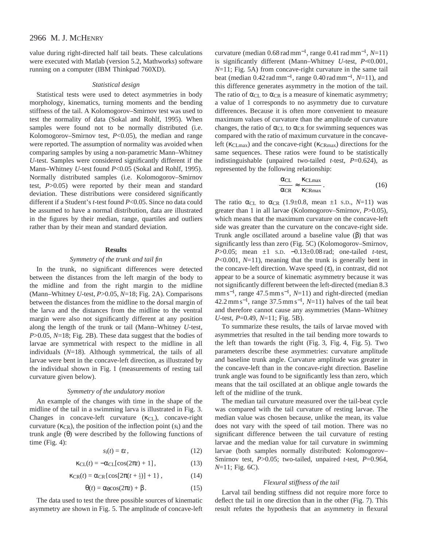# 2966 M. J. MCHENRY

value during right-directed half tail beats. These calculations were executed with Matlab (version 5.2, Mathworks) software running on a computer (IBM Thinkpad 760XD).

### *Statistical design*

Statistical tests were used to detect asymmetries in body morphology, kinematics, turning moments and the bending stiffness of the tail. A Kolomogorov–Smirnov test was used to test the normality of data (Sokal and Rohlf, 1995). When samples were found not to be normally distributed (i.e. Kolomogorov–Smirnov test, *P*<0.05), the median and range were reported. The assumption of normality was avoided when comparing samples by using a non-parametric Mann–Whitney *U*-test. Samples were considered significantly different if the Mann–Whitney *U*-test found *P*<0.05 (Sokal and Rohlf, 1995). Normally distributed samples (i.e. Kolomogorov–Smirnov test, *P*>0.05) were reported by their mean and standard deviation. These distributions were considered significantly different if a Student's *t*-test found *P*<0.05. Since no data could be assumed to have a normal distribution, data are illustrated in the figures by their median, range, quartiles and outliers rather than by their mean and standard deviation.

#### **Results**

## *Symmetry of the trunk and tail fin*

In the trunk, no significant differences were detected between the distances from the left margin of the body to the midline and from the right margin to the midline (Mann–Whitney *U*-test, *P*>0.05, *N*=18; Fig. 2A). Comparisons between the distances from the midline to the dorsal margin of the larva and the distances from the midline to the ventral margin were also not significantly different at any position along the length of the trunk or tail (Mann–Whitney *U*-test, *P*>0.05, *N*=18; Fig. 2B). These data suggest that the bodies of larvae are symmetrical with respect to the midline in all individuals (*N*=18). Although symmetrical, the tails of all larvae were bent in the concave-left direction, as illustrated by the individual shown in Fig. 1 (measurements of resting tail curvature given below).

#### *Symmetry of the undulatory motion*

An example of the changes with time in the shape of the midline of the tail in a swimming larva is illustrated in Fig. 3. Changes in concave-left curvature (κ<sub>CL</sub>), concave-right curvature ( $\kappa_{CR}$ ), the position of the inflection point  $(s_i)$  and the trunk angle (θ) were described by the following functions of time  $(Fig. 4)$ :

$$
s_i(t) = \varepsilon t, \qquad (12)
$$

$$
\kappa_{\text{CL}}(t) = -\alpha_{\text{CL}}[\cos(2\pi t) + 1],\tag{13}
$$

$$
\kappa_{\rm CR}(t) = \alpha_{\rm CR} \left\{ \cos[2\pi(t + \frac{1}{2})] + 1 \right\},\tag{14}
$$

 $\theta(t) = \alpha_{\theta} \cos(2\pi t) + \beta$ . (15)

The data used to test the three possible sources of kinematic asymmetry are shown in Fig. 5. The amplitude of concave-left

curvature (median 0.68 rad mm<sup>−</sup>1, range 0.41 rad mm−1, *N*=11) is significantly different (Mann–Whitney  $U$ -test,  $P \le 0.001$ , *N*=11; Fig. 5A) from concave-right curvature in the same tail beat (median 0.42 rad mm<sup>−</sup>1, range 0.40 rad mm−1, *N*=11), and this difference generates asymmetry in the motion of the tail. The ratio of  $\alpha_{CL}$  to  $\alpha_{CR}$  is a measure of kinematic asymmetry; a value of 1 corresponds to no asymmetry due to curvature differences. Because it is often more convenient to measure maximum values of curvature than the amplitude of curvature changes, the ratio of  $\alpha_{CL}$  to  $\alpha_{CR}$  for swimming sequences was compared with the ratio of maximum curvature in the concaveleft (κ<sub>CLmax</sub>) and the concave-right (κ<sub>CRmax</sub>) directions for the same sequences. These ratios were found to be statistically indistinguishable (unpaired two-tailed *t*-test, *P*=0.624), as represented by the following relationship:

$$
\frac{\alpha_{CL}}{\alpha_{CR}} \approx \frac{\kappa_{CLmax}}{\kappa_{CRmax}}.
$$
 (16)

The ratio  $\alpha_{CL}$  to  $\alpha_{CR}$  (1.9±0.8, mean ±1 s.p., N=11) was greater than 1 in all larvae (Kolomogorov–Smirnov, *P*>0.05), which means that the maximum curvature on the concave-left side was greater than the curvature on the concave-right side. Trunk angle oscillated around a baseline value  $(\beta)$  that was significantly less than zero (Fig. 5C) (Kolomogorov–Smirnov, *P*>0.05; mean ±1 s.D. −0.13±0.08 rad; one-tailed *t*-test, *P*<0.001, *N*=11), meaning that the trunk is generally bent in the concave-left direction. Wave speed  $(\varepsilon)$ , in contrast, did not appear to be a source of kinematic asymmetry because it was not significantly different between the left-directed (median 8.3 mm s<sup>-1</sup>, range 47.5 mm s<sup>-1</sup>, *N*=11) and right-directed (median 42.2 mm s<sup>−</sup>1, range 37.5 mm s−1, *N*=11) halves of the tail beat and therefore cannot cause any asymmetries (Mann–Whitney *U*-test, *P*=0.49, *N*=11; Fig. 5B).

To summarize these results, the tails of larvae moved with asymmetries that resulted in the tail bending more towards to the left than towards the right (Fig. 3, Fig. 4, Fig. 5). Two parameters describe these asymmetries: curvature amplitude and baseline trunk angle. Curvature amplitude was greater in the concave-left than in the concave-right direction. Baseline trunk angle was found to be significantly less than zero, which means that the tail oscillated at an oblique angle towards the left of the midline of the trunk.

The median tail curvature measured over the tail-beat cycle was compared with the tail curvature of resting larvae. The median value was chosen because, unlike the mean, its value does not vary with the speed of tail motion. There was no significant difference between the tail curvature of resting larvae and the median value for tail curvature in swimming larvae (both samples normally distributed: Kolomogorov– Smirnov test, *P*>0.05; two-tailed, unpaired *t*-test, *P*=0.964, *N*=11; Fig. 6C).

### *Flexural stiffness of the tail*

Larval tail bending stiffness did not require more force to deflect the tail in one direction than in the other (Fig. 7). This result refutes the hypothesis that an asymmetry in flexural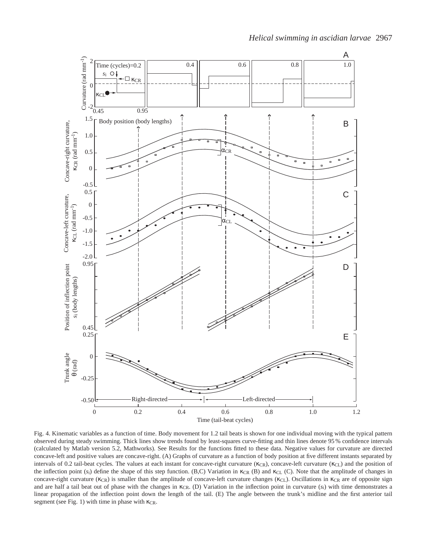

Fig. 4. Kinematic variables as a function of time. Body movement for 1.2 tail beats is shown for one individual moving with the typical pattern observed during steady swimming. Thick lines show trends found by least-squares curve-fitting and thin lines denote 95 % confidence intervals (calculated by Matlab version 5.2, Mathworks). See Results for the functions fitted to these data. Negative values for curvature are directed concave-left and positive values are concave-right. (A) Graphs of curvature as a function of body position at five different instants separated by intervals of 0.2 tail-beat cycles. The values at each instant for concave-right curvature (κcR), concave-left curvature (κcL) and the position of the inflection point  $(s_i)$  define the shape of this step function. (B,C) Variation in  $\kappa_{CR}$  (B) and  $\kappa_{CL}$  (C). Note that the amplitude of changes in concave-right curvature (κcR) is smaller than the amplitude of concave-left curvature changes (κcL). Oscillations in κcR are of opposite sign and are half a tail beat out of phase with the changes in κCR. (D) Variation in the inflection point in curvature (*s*i) with time demonstrates a linear propagation of the inflection point down the length of the tail. (E) The angle between the trunk's midline and the first anterior tail segment (see Fig. 1) with time in phase with κcR.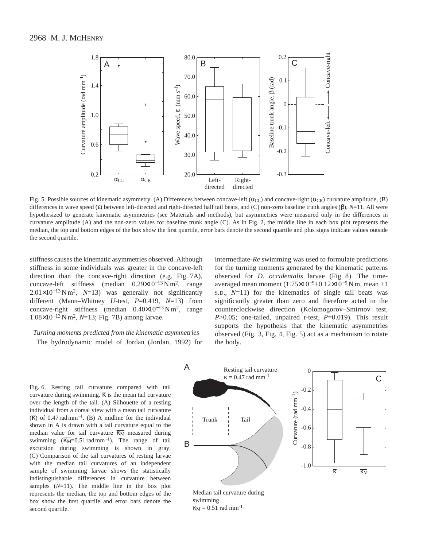

Fig. 5. Possible sources of kinematic asymmetry. (A) Differences between concave-left ( $\alpha_{CL}$ ) and concave-right ( $\alpha_{CR}$ ) curvature amplitude, (B) differences in wave speed (ε) between left-directed and right-directed half tail beats, and (C) non-zero baseline trunk angles (β)*, N*=11. All were hypothesized to generate kinematic asymmetries (see Materials and methods), but asymmetries were measured only in the differences in curvature amplitude (A) and the non-zero values for baseline trunk angle (C). As in Fig. 2, the middle line in each box plot represents the median, the top and bottom edges of the box show the first quartile, error bars denote the second quartile and plus signs indicate values outside the second quartile.

stiffness causes the kinematic asymmetries observed. Although stiffness in some individuals was greater in the concave-left direction than the concave-right direction (e.g. Fig. 7A), concave-left stiffness (median  $0.29 \times 10^{-13} \text{ N m}^2$ , range 2.01×10−<sup>13</sup> N m2, *N*=13) was generally not significantly different (Mann–Whitney *U*-test, *P*=0.419, *N*=13) from concave-right stiffness (median  $0.40\times10^{-13}$  N m<sup>2</sup>, range 1.08×10−<sup>13</sup> N m2, *N*=13; Fig. 7B) among larvae.

# *Turning moments predicted from the kinematic asymmetries* The hydrodynamic model of Jordan (Jordan, 1992) for

intermediate-*Re* swimming was used to formulate predictions for the turning moments generated by the kinematic patterns observed for *D. occidentalis* larvae (Fig. 8). The timeaveraged mean moment  $(1.75\times10^{-9} \pm 0.12\times10^{-9} \,\mathrm{N}$  m, mean  $\pm 1$ S.D., *N*=11) for the kinematics of single tail beats was significantly greater than zero and therefore acted in the counterclockwise direction (Kolomogorov–Smirnov test, *P*>0.05; one-tailed, unpaired *t*-test, *P*=0.019). This result supports the hypothesis that the kinematic asymmetries observed (Fig. 3, Fig. 4, Fig. 5) act as a mechanism to rotate the body.

Fig. 6. Resting tail curvature compared with tail curvature during swimming.  $\overline{k}$  is the mean tail curvature over the length of the tail. (A) Silhouette of a resting individual from a dorsal view with a mean tail curvature ( $\bar{k}$ ) of 0.47 rad mm<sup>-1</sup>. (B) A midline for the individual shown in A is drawn with a tail curvature equal to the median value for tail curvature  $\overline{K_M}$  measured during median value for tail curvature  $\overline{\kappa_M}$  measured during median value for tail curvature  $\overrightarrow{\mathbf{k}_{M}}$  measured during<br>swimming  $(\overrightarrow{\mathbf{k}_{M}}=0.51 \text{ rad mm}^{-1})$ . The range of tail excursion during swimming is shown in gray. (C) Comparison of the tail curvatures of resting larvae with the median tail curvatures of an independent sample of swimming larvae shows the statistically indistinguishable differences in curvature between samples  $(N=11)$ . The middle line in the box plot represents the median, the top and bottom edges of the box show the first quartile and error bars denote the second quartile.

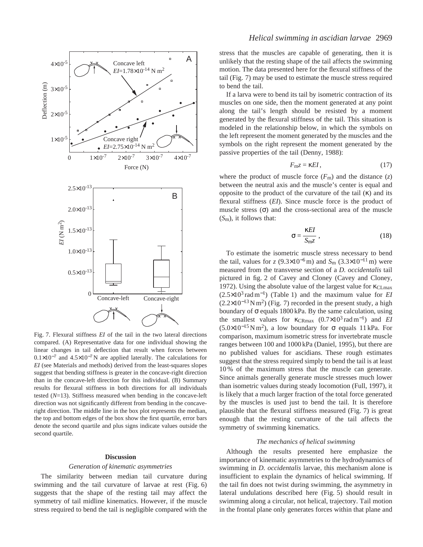

Fig. 7. Flexural stiffness *EI* of the tail in the two lateral directions compared. (A) Representative data for one individual showing the linear changes in tail deflection that result when forces between  $0.1\times10^{-7}$  and  $4.5\times10^{-7}$  N are applied laterally. The calculations for *EI* (see Materials and methods) derived from the least-squares slopes suggest that bending stiffness is greater in the concave-right direction than in the concave-left direction for this individual. (B) Summary results for flexural stiffness in both directions for all individuals tested (*N*=13). Stiffness measured when bending in the concave-left direction was not significantly different from bending in the concaveright direction. The middle line in the box plot represents the median, the top and bottom edges of the box show the first quartile, error bars denote the second quartile and plus signs indicate values outside the second quartile.

#### **Discussion**

### *Generation of kinematic asymmetries*

The similarity between median tail curvature during swimming and the tail curvature of larvae at rest (Fig. 6) suggests that the shape of the resting tail may affect the symmetry of tail midline kinematics. However, if the muscle stress required to bend the tail is negligible compared with the stress that the muscles are capable of generating, then it is unlikely that the resting shape of the tail affects the swimming motion. The data presented here for the flexural stiffness of the tail (Fig. 7) may be used to estimate the muscle stress required to bend the tail.

If a larva were to bend its tail by isometric contraction of its muscles on one side, then the moment generated at any point along the tail's length should be resisted by a moment generated by the flexural stiffness of the tail. This situation is modeled in the relationship below, in which the symbols on the left represent the moment generated by the muscles and the symbols on the right represent the moment generated by the passive properties of the tail (Denny, 1988):

$$
F_{\text{mZ}} = \kappa EI, \tag{17}
$$

where the product of muscle force  $(F_m)$  and the distance  $(z)$ between the neutral axis and the muscle's center is equal and opposite to the product of the curvature of the tail (κ) and its flexural stiffness (*EI*). Since muscle force is the product of muscle stress  $(\sigma)$  and the cross-sectional area of the muscle (*S*m), it follows that:

$$
\sigma = \frac{\kappa EI}{S_{\rm m} z} \,, \tag{18}
$$

To estimate the isometric muscle stress necessary to bend the tail, values for *z* (9.3×10<sup>-6</sup>m) and *S*<sub>m</sub> (3.3×10<sup>-11</sup>m) were measured from the transverse section of a *D. occidentalis* tail pictured in fig. 2 of Cavey and Cloney (Cavey and Cloney, 1972). Using the absolute value of the largest value for  $\kappa_{\text{CLmax}}$ (2.5×103 rad m<sup>−</sup>1) (Table 1) and the maximum value for *EI*  $(2.2\times10^{-13} N \text{ m}^2)$  (Fig. 7) recorded in the present study, a high boundary of  $\sigma$  equals 1800 kPa. By the same calculation, using the smallest values for κCRmax (0.7×103 rad m<sup>−</sup>1) and *EI*  $(5.0\times10^{-15}\,\mathrm{N}\,\mathrm{m}^2)$ , a low boundary for  $\sigma$  equals 11 kPa. For comparison, maximum isometric stress for invertebrate muscle ranges between 100 and 1000 kPa (Daniel, 1995), but there are no published values for ascidians. These rough estimates suggest that the stress required simply to bend the tail is at least 10 % of the maximum stress that the muscle can generate. Since animals generally generate muscle stresses much lower than isometric values during steady locomotion (Full, 1997), it is likely that a much larger fraction of the total force generated by the muscles is used just to bend the tail. It is therefore plausible that the flexural stiffness measured (Fig. 7) is great enough that the resting curvature of the tail affects the symmetry of swimming kinematics.

# *The mechanics of helical swimming*

Although the results presented here emphasize the importance of kinematic asymmetries to the hydrodynamics of swimming in *D. occidentalis* larvae, this mechanism alone is insufficient to explain the dynamics of helical swimming. If the tail fin does not twist during swimming, the asymmetry in lateral undulations described here (Fig. 5) should result in swimming along a circular, not helical, trajectory. Tail motion in the frontal plane only generates forces within that plane and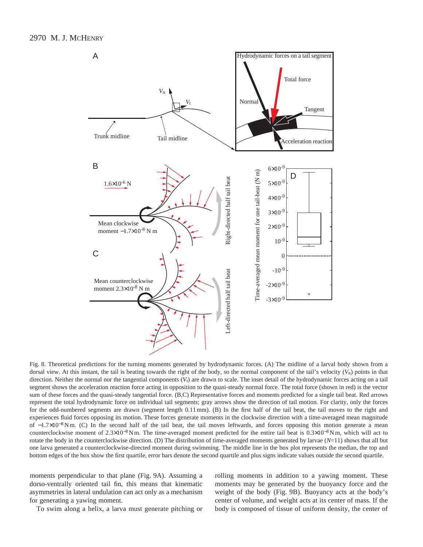

Fig. 8. Theoretical predictions for the turning moments generated by hydrodynamic forces. (A) The midline of a larval body shown from a dorsal view. At this instant, the tail is beating towards the right of the body, so the normal component of the tail's velocity  $(V_n)$  points in that direction. Neither the normal nor the tangential components ( $V_t$ ) are drawn to scale. The inset detail of the hydrodynamic forces acting on a tail segment shows the acceleration reaction force acting in opposition to the quasi-steady normal force. The total force (shown in red) is the vector sum of these forces and the quasi-steady tangential force. (B,C) Representative forces and moments predicted for a single tail beat. Red arrows represent the total hydrodynamic force on individual tail segments; gray arrows show the direction of tail motion. For clarity, only the forces for the odd-numbered segments are drawn (segment length 0.11 mm). (B) In the first half of the tail beat, the tail moves to the right and experiences fluid forces opposing its motion. These forces generate moments in the clockwise direction with a time-averaged mean magnitude of −1.7×10<sup>-8</sup> N m. (C) In the second half of the tail beat, the tail moves leftwards, and forces opposing this motion generate a mean counterclockwise moment of  $2.3\times10^{-8}$  N m. The time-averaged moment predicted for the entire tail beat is  $0.3\times10^{-8}$  N m, which will act to rotate the body in the counterclockwise direction. (D) The distribution of time-averaged moments generated by larvae (*N*=11) shows that all but one larva generated a counterclockwise-directed moment during swimming. The middle line in the box plot represents the median, the top and bottom edges of the box show the first quartile, error bars denote the second quartile and plus signs indicate values outside the second quartile.

moments perpendicular to that plane (Fig. 9A). Assuming a dorso-ventrally oriented tail fin, this means that kinematic asymmetries in lateral undulation can act only as a mechanism for generating a yawing moment.

To swim along a helix, a larva must generate pitching or

rolling moments in addition to a yawing moment. These moments may be generated by the buoyancy force and the weight of the body (Fig. 9B). Buoyancy acts at the body's center of volume, and weight acts at its center of mass. If the body is composed of tissue of uniform density, the center of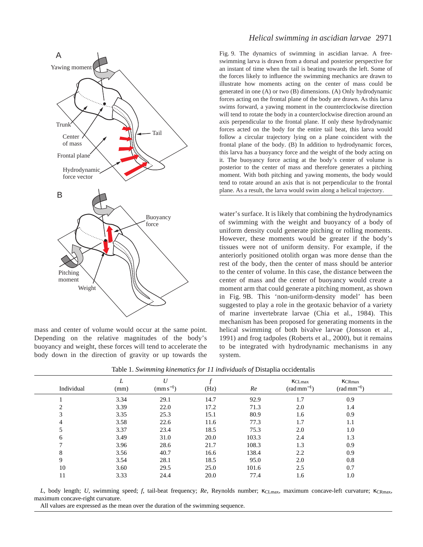

mass and center of volume would occur at the same point. Depending on the relative magnitudes of the body's buoyancy and weight, these forces will tend to accelerate the body down in the direction of gravity or up towards the

# *Helical swimming in ascidian larvae* 2971

Fig. 9. The dynamics of swimming in ascidian larvae. A freeswimming larva is drawn from a dorsal and posterior perspective for an instant of time when the tail is beating towards the left. Some of the forces likely to influence the swimming mechanics are drawn to illustrate how moments acting on the center of mass could be generated in one (A) or two (B) dimensions. (A) Only hydrodynamic forces acting on the frontal plane of the body are drawn. As this larva swims forward, a yawing moment in the counterclockwise direction will tend to rotate the body in a counterclockwise direction around an axis perpendicular to the frontal plane. If only these hydrodynamic forces acted on the body for the entire tail beat, this larva would follow a circular trajectory lying on a plane coincident with the frontal plane of the body. (B) In addition to hydrodynamic forces, this larva has a buoyancy force and the weight of the body acting on it. The buoyancy force acting at the body's center of volume is posterior to the center of mass and therefore generates a pitching moment. With both pitching and yawing moments, the body would tend to rotate around an axis that is not perpendicular to the frontal plane. As a result, the larva would swim along a helical trajectory.

water's surface. It is likely that combining the hydrodynamics of swimming with the weight and buoyancy of a body of uniform density could generate pitching or rolling moments. However, these moments would be greater if the body's tissues were not of uniform density. For example, if the anteriorly positioned otolith organ was more dense than the rest of the body, then the center of mass should be anterior to the center of volume. In this case, the distance between the center of mass and the center of buoyancy would create a moment arm that could generate a pitching moment, as shown in Fig. 9B. This 'non-uniform-density model' has been suggested to play a role in the geotaxic behavior of a variety of marine invertebrate larvae (Chia et al., 1984). This mechanism has been proposed for generating moments in the helical swimming of both bivalve larvae (Jonsson et al., 1991) and frog tadpoles (Roberts et al., 2000), but it remains to be integrated with hydrodynamic mechanisms in any system.

| Individual   | (mm) | U<br>$(mm s^{-1})$ | (Hz) | Re    | KCLmax<br>$(rad\,mm^{-1})$ | <b>KCRmax</b><br>$(rad\,mm^{-1})$ |  |
|--------------|------|--------------------|------|-------|----------------------------|-----------------------------------|--|
|              | 3.34 | 29.1               | 14.7 | 92.9  | 1.7                        | 0.9                               |  |
| ◠            | 3.39 | 22.0               | 17.2 | 71.3  | 2.0                        | 1.4                               |  |
| 3            | 3.35 | 25.3               | 15.1 | 80.9  | 1.6                        | 0.9                               |  |
|              | 3.58 | 22.6               | 11.6 | 77.3  | 1.7                        | 1.1                               |  |
|              | 3.37 | 23.4               | 18.5 | 75.3  | 2.0                        | 1.0                               |  |
| <sub>0</sub> | 3.49 | 31.0               | 20.0 | 103.3 | 2.4                        | 1.3                               |  |
|              | 3.96 | 28.6               | 21.7 | 108.3 | 1.3                        | 0.9                               |  |
| 8            | 3.56 | 40.7               | 16.6 | 138.4 | 2.2                        | 0.9                               |  |
| 9            | 3.54 | 28.1               | 18.5 | 95.0  | 2.0                        | 0.8                               |  |
| 10           | 3.60 | 29.5               | 25.0 | 101.6 | 2.5                        | 0.7                               |  |
| 11           | 3.33 | 24.4               | 20.0 | 77.4  | 1.6                        | 1.0                               |  |

Table 1. *Swimming kinematics for 11 individuals of* Distaplia occidentalis

*L*, body length; *U*, swimming speed; *f*, tail-beat frequency; *Re*, Reynolds number; κCLmax, maximum concave-left curvature; κCRmax, maximum concave-right curvature.

All values are expressed as the mean over the duration of the swimming sequence.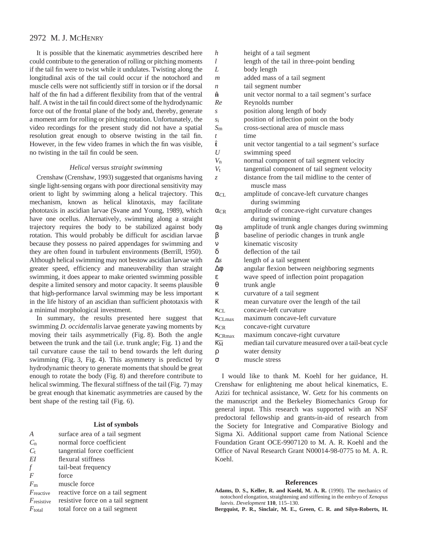# 2972 M. J. MCHENRY

It is possible that the kinematic asymmetries described here could contribute to the generation of rolling or pitching moments if the tail fin were to twist while it undulates. Twisting along the longitudinal axis of the tail could occur if the notochord and muscle cells were not sufficiently stiff in torsion or if the dorsal half of the fin had a different flexibility from that of the ventral half. A twist in the tail fin could direct some of the hydrodynamic force out of the frontal plane of the body and, thereby, generate a moment arm for rolling or pitching rotation. Unfortunately, the video recordings for the present study did not have a spatial resolution great enough to observe twisting in the tail fin. However, in the few video frames in which the fin was visible, no twisting in the tail fin could be seen.

### *Helical* versus *straight swimming*

Crenshaw (Crenshaw, 1993) suggested that organisms having single light-sensing organs with poor directional sensitivity may orient to light by swimming along a helical trajectory. This mechanism, known as helical klinotaxis, may facilitate phototaxis in ascidian larvae (Svane and Young, 1989), which have one ocellus. Alternatively, swimming along a straight trajectory requires the body to be stabilized against body rotation. This would probably be difficult for ascidian larvae because they possess no paired appendages for swimming and they are often found in turbulent environments (Berrill, 1950). Although helical swimming may not bestow ascidian larvae with greater speed, efficiency and maneuverability than straight swimming, it does appear to make oriented swimming possible despite a limited sensory and motor capacity. It seems plausible that high-performance larval swimming may be less important in the life history of an ascidian than sufficient phototaxis with a minimal morphological investment.

In summary, the results presented here suggest that swimming *D. occidentalis* larvae generate yawing moments by moving their tails asymmetrically (Fig. 8). Both the angle between the trunk and the tail (i.e. trunk angle; Fig. 1) and the tail curvature cause the tail to bend towards the left during swimming (Fig. 3, Fig. 4). This asymmetry is predicted by hydrodynamic theory to generate moments that should be great enough to rotate the body (Fig. 8) and therefore contribute to helical swimming. The flexural stiffness of the tail (Fig. 7) may be great enough that kinematic asymmetries are caused by the bent shape of the resting tail (Fig. 6).

### **List of symbols**

| $\overline{A}$         | surface area of a tail segment    |
|------------------------|-----------------------------------|
| $C_{n}$                | normal force coefficient          |
| $C_{t}$                | tangential force coefficient      |
| EI                     | flexural stiffness                |
| f                      | tail-beat frequency               |
| $\overline{F}$         | force                             |
| $F_{\rm m}$            | muscle force                      |
| $F_{\text{reactive}}$  | reactive force on a tail segment  |
| $F_{\text{resistive}}$ | resistive force on a tail segment |
| $F_{\text{total}}$     | total force on a tail segment     |

| h                      | height of a tail segment                              |
|------------------------|-------------------------------------------------------|
| L                      | length of the tail in three-point bending             |
| L                      | body length                                           |
| $\mathfrak{m}$         | added mass of a tail segment                          |
| $\boldsymbol{n}$       | tail segment number                                   |
| ñ                      | unit vector normal to a tail segment's surface        |
| Re                     | Reynolds number                                       |
| S                      | position along length of body                         |
| $S_1$                  | position of inflection point on the body              |
| $S_{\rm m}$            | cross-sectional area of muscle mass                   |
| t                      | time                                                  |
| Ê                      | unit vector tangential to a tail segment's surface    |
| $\boldsymbol{U}$       | swimming speed                                        |
| $V_{\rm n}$            | normal component of tail segment velocity             |
| $V_{t}$                | tangential component of tail segment velocity         |
| Z.                     | distance from the tail midline to the center of       |
|                        | muscle mass                                           |
| $\alpha_{\text{CI}}$   | amplitude of concave-left curvature changes           |
|                        | during swimming                                       |
| $\alpha_{\rm CR}$      | amplitude of concave-right curvature changes          |
|                        | during swimming                                       |
| Œθ                     | amplitude of trunk angle changes during swimming      |
| β                      | baseline of periodic changes in trunk angle           |
| ν                      | kinematic viscosity                                   |
| $\delta$               | deflection of the tail                                |
| $\Delta s$             | length of a tail segment                              |
| Δφ                     | angular flexion between neighboring segments          |
| ε                      | wave speed of inflection point propagation            |
| θ                      | trunk angle                                           |
| ĸ                      | curvature of a tail segment                           |
| $\overline{\kappa}$    | mean curvature over the length of the tail            |
| KCL                    | concave-left curvature                                |
| KCLmax                 | maximum concave-left curvature                        |
| KCR                    | concave-right curvature                               |
| KCRmax                 | maximum concave-right curvature                       |
| $\overline{\text{KM}}$ | median tail curvature measured over a tail-beat cycle |
| ρ                      | water density                                         |
| σ                      | muscle stress                                         |
|                        |                                                       |
|                        |                                                       |

I would like to thank M. Koehl for her guidance, H. Crenshaw for enlightening me about helical kinematics, E. Azizi for technical assistance, W. Getz for his comments on the manuscript and the Berkeley Biomechanics Group for general input. This research was supported with an NSF predoctoral fellowship and grants-in-aid of research from the Society for Integrative and Comparative Biology and Sigma Xi. Additional support came from National Science Foundation Grant OCE-9907120 to M. A. R. Koehl and the Office of Naval Research Grant N00014-98-0775 to M. A. R. Koehl.

#### **References**

- **Adams, D. S., Keller, R. and Koehl, M. A. R.** (1990). The mechanics of notochord elongation, straightening and stiffening in the embryo of *Xenopus laevis*. *Development* **110**, 115–130.
- **Bergquist, P. R., Sinclair, M. E., Green, C. R. and Silyn-Roberts, H.**